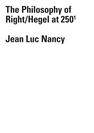## **The Philosophy of Right/Hegel at 2501**

## **Jean Luc Nancy**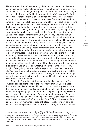Here we are at the 250<sup>th</sup> anniversary of the birth of Hegel, and Jean-Clet Martin has asked me to help celebrate or mark this anniversary. But how should we do so? Let me go straight to one of the most famous passages in Hegel, which you can find in the preface to the *Philosophy of Right*: the owl of Minerva takes flight at dusk/nightfall. We know what this means: philosophy takes place, it comes about or takes flight, as the immediate context of the preface tells us, when a form of life has reached its twilight years/its greying limit (*a vieilli*). And what philosophy does, then, is think the form of that limit, that greying: the way it does so—to stay in this same context—the way philosophy thinks this form is by putting its grey (zones) on the greying (of the world, of that form, that limit, that age/ aging). This passage is familiar to us all, everybody knows it. But as Hegel says elsewhere, that which is *well* known, that which we think we know well, is precisely what we understand/know the least. The passage in question is indeed quite poorly known—it has certainly given rise to much discussion, commentary and exegesis. Yet I think that we need to understand it as saying, first and foremost, that philosophy indeed always takes flight in the aftermath of an age/an aging, after the ending of a form of life. Hegel says this elsewhere as well, about the history of philosophy. Elsewhere, he'll claim that first philosophy arises, precisely, in the wake of a disappearance—in the aftermath of the disappearance of a certain way/form of life which knows no philosophy [in which there is no philosophy] because it is the form of life of a world in which everything is structured and animated by what we call myths, mythologies. Now, in light of everything that the preface says about it, we need to think of what's at stake here as the gradual disappearance, the *greying*, if not the exhaustion, in a certain sense, of political thought; of political philosophy and of Prussian politics itself at the moment Hegel is writing [*la politique de la Prusse à ce moment là*].

Now, I don't want to get dragged into the history of all that [i.e., Prussian politics at the time of the *Philosophy of Right*], as it's not all that interesting. Rather, what I'd like to do is tarry with a question, one that is no doubt on your minds as well: if philosophy is just grey on grey, if it is just the greying light of dusk, what's the point of philosophy? What use is it to us? In certain sense, it's true that philosophy doesn't have a use-value, is of no use [*ne sert à rien*]. In any event, it cannot be used to pave the way or prepare [us] for another form [of life?]; it does not help us enter into new moments or eras of history. Hegel definitely says as much in the same preface: philosophers aren't here/come about to make C R I S I S

<sup>1</sup> Jean-Luc Nancy was a frequent contributor to *Crisis and Critique*. His unexpected passing saddened and continues to sadden us deeply. Not only did we establish a most amicable working relationship, his death also violently and shockingly broke off a number of ongoing projects, one of which manifests in the subsequent paper. This text is a transcription of a talk that Jean-Luc Nancy gave on Hegel's *Philosophy of Right*. Nancy's promise to expand and rework this text further will remain unfulfilled.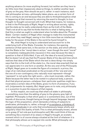anything advance /to move anything forward, but neither are they here to do little more than impassively observe things, to slather another layer of grey on the grey. How should we put it, rather: in each instance, each real philosopher arrives—philosophy takes place—as a certain form of life is coming to an end because they are able to think/philosophize what is happening at that moment by returning the event to thought, to *true*  thought: to thought concerned with truth. What that means, for instance, is that in the *Philosophy of Right*, Hegel is writing about society, rights, and the state as he really understands them as the truth of the State. That's not at all to say that he thinks that *this* is what is fading away, or that this is what we ought to understand when he talks about the 'Prussian State'. Certain readers of Hegel often manage to make this monumental error when they read Hegel, seeing in him little more than an intellectual today for the power of the State in the world he found himself in.

No, what Hegel is trying to understand and account for is the underlying *truth* of the State. Consider, for instance, the opening sentence of that same text, in the section on the state, and which affirms that the State is the "moral idea in action," even though the word "moral" is completely inadequate [*très mauvais*] in this case because the idea in question is that of *Sittlichkeit*, if you will, the idea of a moral [schema]. But he doesn't at all say that the Prussian State of his day and time which realizes that idea of the State which the text is describing—he simply says that *this* is the truth of the state (i.e., the moral idea enacted) that we can appreciate it in one form or another. At the very end of the *Philosophy of Right*, Hegel goes on to evoke the figure of a monarch: a prince, the reign of an individual predicated on the principle of the 'one and only,' the one of a non-contingency who *naturally* must represent—though 'represent' is not quite the right word—, who must *incarnate*, rather, the State because the latter has to be rooted in a physical body, a person. And that physical person—whatever their particular qualities might be incarnates a certain idea of the State, gives it a form of presence, if you will, (re)presents its majesty. *But*, Hegel goes on to note, *only philosophy is in a position to give the measure of that majesty*.

In this respect, we could say that what's at stake in philosophy is something more than the adding of grey to the gloomy grey light of nightfall. Philosophy is that which goes or *is* somewhere else, out of the bounds of discourse, thought being as though beyond language, beyond the logic of the proposition, which demands a linking of subjects to predicates; philosophy is, rather, a though of *co-existence*, a thinking of subject and predicate in an unity that simultaneously keeps wholly and singularly intact the duality of both. This is what philosophy *knows*, allows us to grasp *[C'est cela que la philosophie sait*]*.* We could think of this as something like a moment of ex-stasis in Hegel's thought, an ecstatic moment which is of course always situated at the limit of whatever it is that philosophy allows us to say/put into words. What philosophy can

E / Volume 8 Issue 2

C R I S I S & C R I T  $\mathbf{I}$ Q U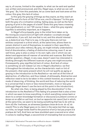say is, of course, limited to the sayable, to what can be said and spelled out, written and pronounced, and *this*, Hegel says, is what we can call 'the grey'. So, from this postulate, let us come back and look anew at this colour, this grey, this *lack* of colour.

Is this grey the greying of things as they expire, as they reach an end? The end of a form of life? Of an era, *une fin d'époque* ? Is this grey both the grey of a civilisation ending, fading away, as well as the faint greying of print in the pages of a book? Does this grey have *a* meaning [*une signification*], or not ? Of course it does – what this grey signals/ signifies is extremely important, as it happens.

In Hegel's *Encyclopedia*, grey is the initial form taken on by the mixing [*la conjonction*] of light with shadow—a simple enough combination, if you will, but one that is not, and this should interest us, a *dialectical* one. That is to say, in the grey there are not two entities conjoined in a third which, at the same time, allows them to remain distinct in and of themselves, to subsist in their specificity [*subsister pour elles-mêmes*]. By grey, we might initially understand a kind of discoloration, a fading of distinctive colouring, even if, as we well know, grey is also a colour in its own right, one in which we can detect and appreciate all manner of varieties and nuances. But that's another question—Hegel, in any case, doesn't *seem* too interested in thinking (through) the different nuances of grey one might encounter. Consequently, grey signifies [a] lack of colour. And lack of colour is something we will indeed run into in Hegel's *Aesthetics*: we find it throughout the introduction, as the characteristic mark or tint of the present—that same present which he will *not* qualify as aging or greying in the introduction to the *Aesthetics*—as well as of the time of abstraction, of reflection, and thus indeed, of philosophy. Abstraction and reflection need to be to be taken in this context however, as a manner or mode of observing, of thinking, the world and thus of reducing the world to a universal that is more or less monochromatic, more or less *grey* (although Hegel doesn't use the term at this point in the introduction).

So what role, then, is being played by this discoloration<sup>2</sup> in the introduction to the *Aesthetics*? This fading of a present that is also a time in which we seem to know everything, in which everything comes back or down to a certain knowledge formation or discourse [*ce présent comme un temps où en effet on sait tout, où tout se rapporte à du savoir*] but in which, at the same time, we seem to be losing something that has to do with (a form of) life: liveliness, an aliveness [*quelque chose de la vie: du vif, du vivant*]. This is why Hegel goes on to claim in the same text that our age, our time, no longer lends itself to the practice of art [*n'est pas propre à la pratique de l'art*]. And here we have stumbled upon a second error when it comes to reading Hegel, a second kind of misreading that we encounter

2 *déploration*? *décoloration*? The audio here is difficult to discern – ELM/RSC.

Issue 2

C R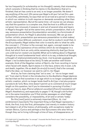far too frequently [in scholarship on his thought]: namely, that misreading which consists in thinking that he claims in the *Aesthetics* that art is finished, that art has come to an end, is no longer possible. He doesn't say anything of the sort. [*On pense que Hegel a dit que l'art est fini—pas du tout!*] Yes, admittedly, he says that we've arrived at a period in history in which our relation to truth requires or demands something other than artistic representation. But at the same time—of course we can always say that the question is a complex one, that the knot is a difficult one to cut given how sinuously it weaves in and out of several sites and layers in Hegel's thought—but at the same time, artistic *presentation*, that is to say, sensuous presentation [*la présentation sensible*], is a form/mode of presentation which, for Hegel is *absolutely necessary*. We can go even further: artistic presentation *qua* sensuous presentation is what makes/ constitutes colour [*Elle est, justement, ce qui fait la couleur*]: recall that, in the *Encyclopedia*, Hegel states that color is exactly akin to what he calls the concept. [...]<sup>3</sup> Colour is the concept, but, again, concept needs to be grasped as the copresence of two entities which do not disappear in a third, but which form an unity while remaining distinctly dual [*qui forme une unité tout en restant une dualité*]. What we're talking about is Hegelian thought at is most fundamental level: which is to say, a dialectical thought, a thought of relations/relationality [*au fond, c'est la pensée viscérale de Hegel: c'est la dialectique et les liens*]. To take yet another well-known example, think of the Hegelian notion of Spirit—far from recoiling in horror when faced with death, Spirit stares it in the face, enters into it even. Life *and* death, together; life *as death* [*la vie e[s]t la mort*], that's the concept, that's the idea—or however we want to call it—for Hegel.

And so, far from claiming that "art is over," or "we no longer need art," from start to finish in the introduction to the *Aesthetics* Hegel *deplores*  the fact that we find ourselves in an age which is no longer compatible with artistic creation, which no longer lends itself to Art [*qui n'est plus propice à produire de l'art*]. Now, time doesn't permit us to comment at much longer length on this question, but if you're interested in pursuing it further, I refer you here to Jean-Pierre Lefebvre's excellent [*French*] translation [*of Hegel's* Aesthetics], and especially to pages 17-18, though a bit further on in the same translation you'll find similar passages on what Hegel considers the possibility, or impossibility, of art and or artists 'today'.

So this [next] point is *extremely* important [*Donc, là, c'est extrêmement important*]. The important thing is that Hegel represents, I think, the first, truly the first, philosopher (not merely in modern history but indeed in all of the history of philosophy, with exceptions made for certain Stoics, Cynics and perhaps a few Epicureans who also felt as though they we're living in/through a time of loss, of disappearance, of

Issue 2

<sup>3</sup> A single word is inaudible after "le concept". It sounds like the French noun "lubie" (a caprice), but is perhaps *Begriff*?

C R I S I S & C R I T  $\mathbf{I}$ Q U E / Volume 8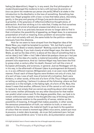fading [*de déperdition*), Hegel is, in any event, the first philosopher of modernity/amongst the moderns to tarry with [a] loss [*le premier en tous cas parmi les modernes qui pense une perte*]. What's at stake in the introduction to the *Aesthetics* is the loss of something. Something has been lost. Hegel grapples with a loss—a loss that takes place, discretely, gently, in the grey and greying of things [*une perte doucement dans la grisaille*], in the greyness of reflection/reflective thought alone, of abstraction. And how striking is it to note that, if today we find ourselves in the throes of a kind of profound unease (*mal-être*) vis-à-vis our civilisation, this is so precisely because we are no longer able to find in that civilization the possibility of appealing, as Hegel does, to a sensuous presentation of truth or meaning. Every problem we encounter today in art—but not solely with art, the same holds for the politics—stems obviously from this dilemma.

How far we seem to have strayed from the Hegelian idea of the State! Now, you might be tempted to exclaim, "Ah, but that's a *good*  thing; Hegel's State is totally idealist!" Nothing could be further from the truth. Nothing. If you look closely at what Hegel says, the idea of the State, *as well as* the idea of Art, is above all the idea of something that is *not* an idea [*c'est l'idée—c'est l'idée d'abord de quelque chose qui n'est* pas *une idée*]. It's the idea of a *reality*: a material [*sensible*], effective reality, present in/to experience. And so I believe Hegel may have been the first to grasp what, a century after his death, Husserl will call the crisis of European philosophy, and sciences, in general. Just as Heidegger will do, in his way, in the aftermath of Husserl (*dans le prolongement de Husserl*), or, in a very different manner, Wittgenstein and, in an even more different manner, Freud: each of these figures were thinkers not only of crisis, but of a sort of loss. Loss of self, loss of (a kind of) civilization. Each were thinkers, in other words, of the end of a form of life. Thus if Hegel insists on telling us anything, I believe it is above all the following: where we find ourselves is in the twilight, in the fading light, of a form of life. Now, this doesn't mean that another, different, form of life cannot or will not arise to replace it, but simply that we cannot say anything about what might be to come; neither philosophy nor any other discourse for that matter can predict what comes next. To the degree possible, then, our task is to remain within/remain rooted in the thought [the way of thinking] which, indeed, produces relation to the possibility of sense, relation as the possibility of meaning. A thought that makes possible, in other words, the sensuous presentation of truth, our relation to truth, or even our relation to the sensuous, the material itself, to go back to the question of colour that we raised a moment ago [*Mais nous avons, autant que nous le pouvons, à rester dans la pensée…de ce qui fait justement que c'est par rapport à la possibilité du sens*. <sup>4</sup> *C'est-à-dire, de la présentation sensible* 

& C R I T I Q U E / Volume 8

Issue 2

C R I S I S

<sup>4</sup> A slight parataxis here in French makes the line of thought especially sinuous.